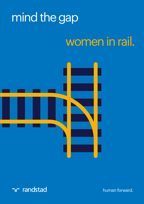# mind the gap

### women in rail.



randstad

human forward.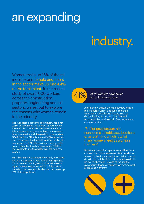### an expanding

# industry.

Women make up 16% of the rail industry and female engineers in the sector make up just  $4.4\%$ of the total talent. In our recent study of over 5,000 workers across the construction, property, engineering and rail sectors, we set out to explore the reasons why women remain in the minority.

The rail sector is growing. The industry has a net worth of £39bn and the number of passengers has more than doubled since privatisation to 1.7 billion journeys per year.\*2 With this comes more lines, more trains and the need for more workers. NSAR (National Skills Academy Rail) have warned that the impact of a diminishing talent pool could cost upwards of £1 billion to the economy and it is estimated that the shortage requires 10,000 more entrants into the sector over the next five years.\*3

With this in mind, it is now increasingly integral to nurture and support those from all backgrounds into an ever-expanding sector. A workforce that is just 16% female is not one that is fully utilising the talent pool - especially when women make up 51% of the population.



41% of rail workers have never had a female manager.

> A further 15% believe there are too few female role models in senior positions. There are a number of contributing factors, such as discrimination, an unconscious bias and responsibilities outside work. One respondent commented that:

"Senior positions are not considered suitable as a job share or as part-time which is what many women need as working mothers."

By denying seniority to part-time and flexi hour contracts, employers are essentially penalising women for having caring duties outside of work, despite the fact that this is often an unavoidable part of motherhood. Instead of making the glass-ceiling lower for mothers, we have to work at breaking it entirely.

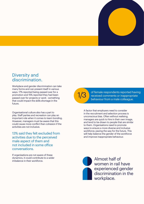

#### Diversity and discrimination.

Workplace and gender discrimination can take many forms and can present itself in various ways. 17% reported being passed over for a promotion and 15% reported they had been passed over for projects or work - something that could impact the skills shortage in the future.

Organisational culture also has a part to play. Staff parties and recreation can play an important role when it comes to team bonding. However, managers must be aware that this could cause more conflict than cohesion if the activities are not inclusive.

13% said they felt excluded from activities due to the perceived male aspect of them and not included in some office conversations.

If organisations are not aware of these dynamics, it could contribute to a wider dynamics, it could contribute to a wider<br>
imbalance in their workforce



1/3 of female respondents reported having<br>
received comments or inappropriate behaviour from a male colleague.

A factor that employers need to consider in the recruitment and selection process is unconscious bias. Often without realising, managers are quick to hire in their own image, and tend to be drawn to people that are similar to them. Organisations need to promote ways to ensure a more diverse and inclusive workforce; paving the way for the future. This will help balance the gender of the workforce and improve inappropriate behaviour.



women in rail have experienced gender discrimination in the workplace.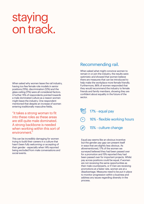#### staying on track.

When asked why women leave the rail industry, having too few female role models in senior positions (15%), discrimination (12%) and the glass-ceiling (11%) were all considered factors. A further 15% of respondents pointed towards a male dominated culture as a reason women might leave the industry. One respondent mentioned that despite an increase of women entering traditionally masculine fields,

"it takes a strong woman to fit into these roles as these areas are still quite male dominated. A strong backbone is needed when working within this sort of environment."

This can be incredibly damaging for women trying to build their careers in a culture that hasn't been fully welcoming or accepting of their gender - especially when 14% reported being excluded from male conversations and social events.

#### Recommending rail.

When asked what might convince women to remain in or join the industry, the results were optimistic and showed that women believe there are measures that can be introduced to help make the workplace more female friendly. Furthermore, 86% of women responded that they would recommend the industry to female friends and family members, showing they are confident about equality in the future of the sector.

- 17% equal pay
- 16% flexible working hours
- $\widehat{\mathscr{D}}$  15% culture change

Equal pay seems like an obvious incentive but the gender pay gap can present itself in ways that are slightly less obvious. As aforementioned, 17% of the women we surveyed believed they had been passed over for a promotion and 15% reported they had been passed over for important projects. Whilst pay across positions could be equal, if women are not receiving the same opportunities as their male counterparts, or if men are receiving promotions at a faster rate, women are at a disadvantage. Measures need to be put in place to monitor progression within a business and address any issues regarding diversity in the process.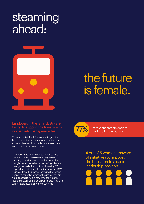#### steaming ahead:



#### the future is female.

#### Employers in the rail industry are failing to support the transition for women into managerial roles.

This makes it difficult for women to gain the help, motivation and role models that can be important elements when building a career in such a male dominated sector.

It is undeniable that a change needs to take place and whilst these results may seem daunting, transformation may be closer than thought. When asked whether having a female manager would affect their working day, 77% of respondents said it would be the same and 17% believed it would improve, showing that whilst people may not be aware of the issue, they are not opposed to it. It is now time for industry leaders to work on inclusion whilst attaining this talent that is essential to their business.



of respondents are open to having a female manager.

4 out of 5 women unaware of initiatives to support the transition to a senior leadership position.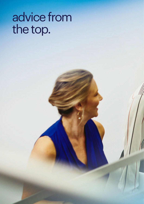# advice from the top.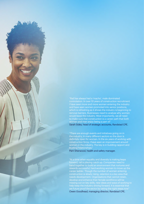"Rail has always had a 'macho', male dominated connotation. In over 10 years of construction recruitment I have seen more and more women entering the industry and have seen women promoted into senior positions, which is refreshing as it shows the industry is beginning to remove barriers. Businesses need to analyse why women would leave the industry. Most importantly, we all need to make sure that construction is a career path that both women and men enjoy being a part of." Sarah Sidey, head of strategic accounts, Randstad CPE.

"There are enough events and initiatives going on in the industry, in many different sectors so the door is definitely open for women. In the six years of working with construction firms, I have seen an improvement around women in the industry. The key is in building rapport and trusting relationships.

Pam Sherwood, health and safety manager.

"At a time when equality and diversity is making leaps forward, rail is playing catch up. Companies need to band together to build an environment that nurtures and career ladder. Though the number of women entering missing out on key skills, new ideas and ways of working to Owen Goodhead, managing director, Randstad CPE.